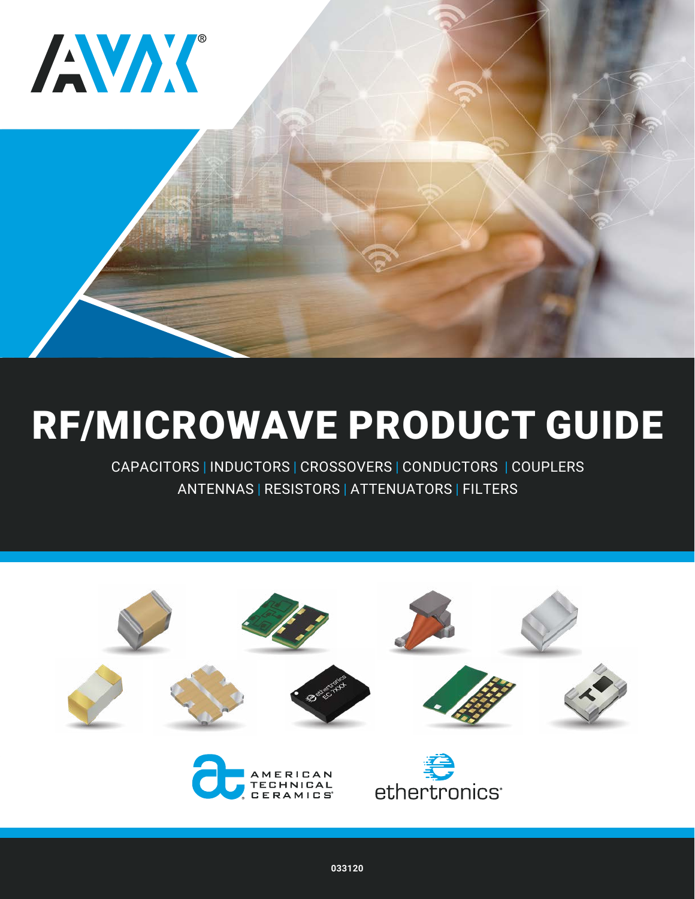



# [RF/MICROWAVE PRODUCT GUIDE](http://www.avx.com/products/rfmicrowave/)

CAPACITORS | INDUCTORS | CROSSOVERS | CONDUCTORS | COUPLERS ANTENNAS | RESISTORS | ATTENUATORS | FILTERS

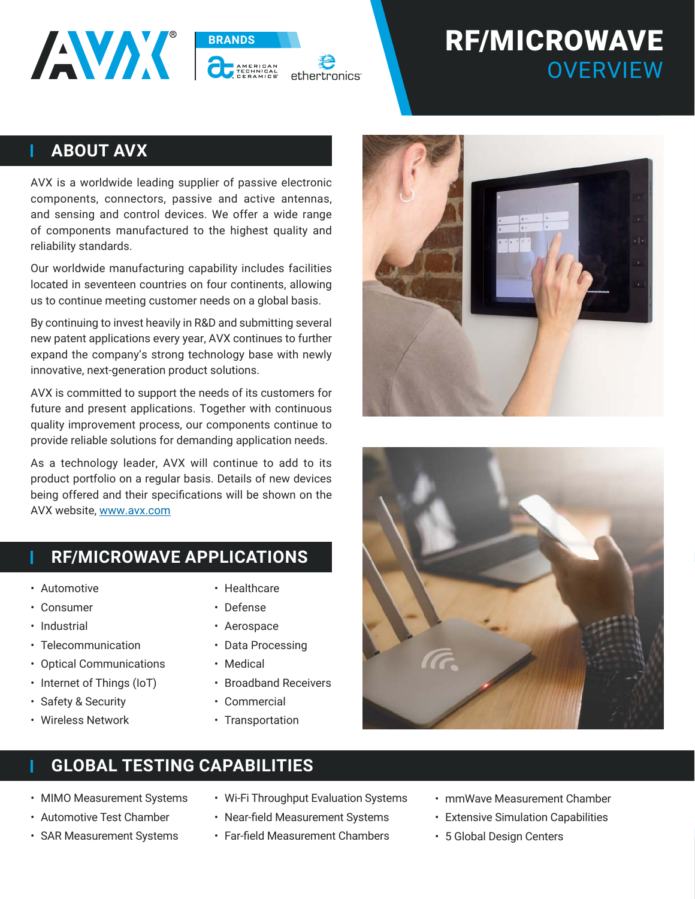# RF/MICROWAVE **OVERVIEW**

#### **ABOUT AVX**

L

AVX is a worldwide leading supplier of passive electronic components, connectors, passive and active antennas, and sensing and control devices. We offer a wide range of components manufactured to the highest quality and reliability standards.

**BRANDS** 

Our worldwide manufacturing capability includes facilities located in seventeen countries on four continents, allowing us to continue meeting customer needs on a global basis.

By continuing to invest heavily in R&D and submitting several new patent applications every year, AVX continues to further expand the company's strong technology base with newly innovative, next-generation product solutions.

AVX is committed to support the needs of its customers for future and present applications. Together with continuous quality improvement process, our components continue to provide reliable solutions for demanding application needs.

As a technology leader, AVX will continue to add to its product portfolio on a regular basis. Details of new devices being offered and their specifications will be shown on the AVX website, [www.avx.com](http://www.avx.com )

- **RF/MICROWAVE APPLICATIONS**
- Automotive

ı

L

- Consumer
- Industrial
- Telecommunication
- Optical Communications
- Internet of Things (IoT)
- Safety & Security
- Wireless Network
- Healthcare
- Defense
- Aerospace
- Data Processing
- Medical
- Broadband Receivers
- Commercial
- Transportation

#### **GLOBAL TESTING CAPABILITIES**

- MIMO Measurement Systems
- Automotive Test Chamber
- SAR Measurement Systems
- Wi-Fi Throughput Evaluation Systems
- Near-field Measurement Systems
- Far-field Measurement Chambers
- mmWave Measurement Chamber
- Extensive Simulation Capabilities
- 5 Global Design Centers



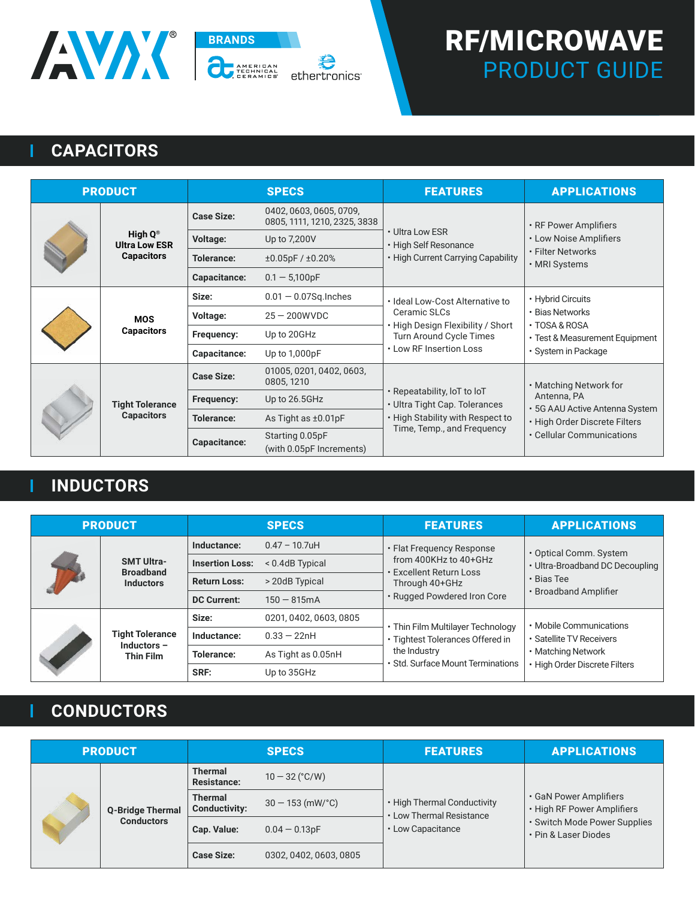

# RF/MICROWAVE PRODUCT GUIDE

# **CAPACITORS**

T

| <b>PRODUCT</b> |                                              |                   | <b>SPECS</b>                                            | <b>FEATURES</b>                                                                                                                            | <b>APPLICATIONS</b>                                                                                                                   |
|----------------|----------------------------------------------|-------------------|---------------------------------------------------------|--------------------------------------------------------------------------------------------------------------------------------------------|---------------------------------------------------------------------------------------------------------------------------------------|
|                |                                              | <b>Case Size:</b> | 0402, 0603, 0605, 0709,<br>0805, 1111, 1210, 2325, 3838 | • Ultra Low ESR<br>• High Self Resonance                                                                                                   | • RF Power Amplifiers<br>• Low Noise Amplifiers<br>• Filter Networks<br>• MRI Systems                                                 |
|                | High $Q^{\circledR}$<br><b>Ultra Low ESR</b> | <b>Voltage:</b>   | Up to 7,200V                                            |                                                                                                                                            |                                                                                                                                       |
|                | <b>Capacitors</b>                            | Tolerance:        | ±0.05pF/±0.20%                                          | • High Current Carrying Capability                                                                                                         |                                                                                                                                       |
|                |                                              | Capacitance:      | $0.1 - 5,100pF$                                         |                                                                                                                                            |                                                                                                                                       |
|                | <b>MOS</b><br><b>Capacitors</b>              | Size:             | $0.01 - 0.07$ Sq. Inches                                | · Ideal Low-Cost Alternative to<br>Ceramic SLCs<br>. High Design Flexibility / Short<br>Turn Around Cycle Times<br>• Low RF Insertion Loss | • Hybrid Circuits<br>• Bias Networks<br>$\cdot$ TOSA & ROSA<br>• Test & Measurement Equipment<br>• System in Package                  |
|                |                                              | Voltage:          | $25 - 200$ WVDC                                         |                                                                                                                                            |                                                                                                                                       |
|                |                                              | Frequency:        | Up to 20GHz                                             |                                                                                                                                            |                                                                                                                                       |
|                |                                              | Capacitance:      | Up to $1,000pF$                                         |                                                                                                                                            |                                                                                                                                       |
|                | <b>Tight Tolerance</b><br><b>Capacitors</b>  | <b>Case Size:</b> | 01005, 0201, 0402, 0603,<br>0805, 1210                  | . Repeatability, IoT to IoT<br>• Ultra Tight Cap. Tolerances<br>. High Stability with Respect to<br>Time, Temp., and Frequency             | • Matching Network for<br>Antenna, PA<br>• 5G AAU Active Antenna System<br>· High Order Discrete Filters<br>• Cellular Communications |
|                |                                              | Frequency:        | Up to 26.5GHz                                           |                                                                                                                                            |                                                                                                                                       |
|                |                                              | <b>Tolerance:</b> | As Tight as ±0.01pF                                     |                                                                                                                                            |                                                                                                                                       |
|                |                                              | Capacitance:      | Starting 0.05pF<br>(with 0.05pF Increments)             |                                                                                                                                            |                                                                                                                                       |

# **INDUCTORS**

Ť

Ľ

| <b>PRODUCT</b> |                                                                |                        | <b>SPECS</b>           | <b>FEATURES</b>                                                                                                              | <b>APPLICATIONS</b>                                                                              |
|----------------|----------------------------------------------------------------|------------------------|------------------------|------------------------------------------------------------------------------------------------------------------------------|--------------------------------------------------------------------------------------------------|
|                | <b>SMT Ultra-</b><br><b>Broadband</b><br><b>Inductors</b>      | Inductance:            | $0.47 - 10.7$ uH       | • Flat Frequency Response<br>from 400KHz to 40+GHz<br>Excellent Return Loss<br>Through 40+GHz<br>· Rugged Powdered Iron Core | • Optical Comm. System<br>• Ultra-Broadband DC Decoupling<br>· Bias Tee<br>• Broadband Amplifier |
|                |                                                                | <b>Insertion Loss:</b> | < 0.4dB Typical        |                                                                                                                              |                                                                                                  |
|                |                                                                | <b>Return Loss:</b>    | > 20dB Typical         |                                                                                                                              |                                                                                                  |
|                |                                                                | <b>DC Current:</b>     | $150 - 815$ mA         |                                                                                                                              |                                                                                                  |
|                |                                                                | Size:                  | 0201, 0402, 0603, 0805 | • Thin Film Multilayer Technology<br>• Tightest Tolerances Offered in                                                        | • Mobile Communications<br>• Satellite TV Receivers                                              |
|                | <b>Tight Tolerance</b>                                         | Inductance:            | $0.33 - 22nH$          |                                                                                                                              |                                                                                                  |
|                | Inductors $-$<br><b>Tolerance:</b><br><b>Thin Film</b><br>SRF: | As Tight as 0.05nH     | the Industry           | • Matching Network                                                                                                           |                                                                                                  |
|                |                                                                |                        | Up to 35GHz            | • Std. Surface Mount Terminations                                                                                            | • High Order Discrete Filters                                                                    |

## **CONDUCTORS**

| <b>PRODUCT</b> |                         | <b>SPECS</b>                           |                               | <b>FEATURES</b>                                              | <b>APPLICATIONS</b>                                                                                          |
|----------------|-------------------------|----------------------------------------|-------------------------------|--------------------------------------------------------------|--------------------------------------------------------------------------------------------------------------|
|                |                         | <b>Thermal</b><br><b>Resistance:</b>   | $10 - 32$ ( $^{\circ}$ C/W)   | • High Thermal Conductivity<br><b>Low Thermal Resistance</b> | • GaN Power Amplifiers<br>• High RF Power Amplifiers<br>· Switch Mode Power Supplies<br>• Pin & Laser Diodes |
|                | <b>Q-Bridge Thermal</b> | <b>Thermal</b><br><b>Conductivity:</b> | $30 - 153$ (mW/ $^{\circ}$ C) |                                                              |                                                                                                              |
|                | <b>Conductors</b>       | Cap. Value:                            | $0.04 - 0.13pF$               | Low Capacitance                                              |                                                                                                              |
|                |                         | <b>Case Size:</b>                      | 0302, 0402, 0603, 0805        |                                                              |                                                                                                              |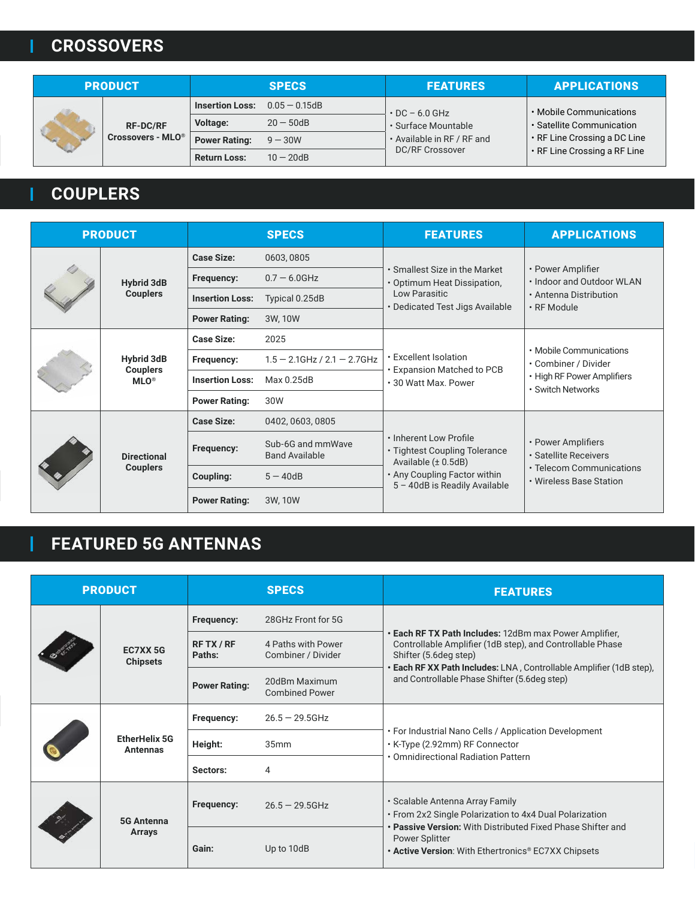# **CROSSOVERS**

| <b>PRODUCT</b> |                               | <b>SPECS</b>           |                  | <b>FEATURES</b>                             | <b>APPLICATIONS</b>                                  |
|----------------|-------------------------------|------------------------|------------------|---------------------------------------------|------------------------------------------------------|
|                |                               | <b>Insertion Loss:</b> | $0.05 - 0.15$ dB | $\cdot$ DC - 6.0 GHz<br>· Surface Mountable | . Mobile Communications<br>· Satellite Communication |
|                | <b>RF-DC/RF</b>               | <b>Voltage:</b>        | $20 - 50$ dB     |                                             |                                                      |
|                | Crossovers - MLO <sup>®</sup> | <b>Power Rating:</b>   | $9 - 30W$        | • Available in RF / RF and                  | • RF Line Crossing a DC Line                         |
|                |                               | <b>Return Loss:</b>    | $10 - 20$ dB     | <b>DC/RF Crossover</b>                      | • RF Line Crossing a RF Line                         |

# **COUPLERS**

|  | <b>PRODUCT</b>                                  |                        | <b>SPECS</b>                               | <b>FEATURES</b>                                                                                                                                     | <b>APPLICATIONS</b>                                                                                |
|--|-------------------------------------------------|------------------------|--------------------------------------------|-----------------------------------------------------------------------------------------------------------------------------------------------------|----------------------------------------------------------------------------------------------------|
|  |                                                 | <b>Case Size:</b>      | 0603,0805                                  | • Smallest Size in the Market<br>• Optimum Heat Dissipation,<br>Low Parasitic<br>• Dedicated Test Jigs Available                                    | • Power Amplifier<br>. Indoor and Outdoor WLAN<br>• Antenna Distribution<br>$\cdot$ RF Module      |
|  | <b>Hybrid 3dB</b>                               | Frequency:             | $0.7 - 6.0$ GHz                            |                                                                                                                                                     |                                                                                                    |
|  | <b>Couplers</b>                                 | <b>Insertion Loss:</b> | Typical 0.25dB                             |                                                                                                                                                     |                                                                                                    |
|  |                                                 | <b>Power Rating:</b>   | 3W, 10W                                    |                                                                                                                                                     |                                                                                                    |
|  | <b>Hybrid 3dB</b><br><b>Couplers</b><br>$MLO^*$ | <b>Case Size:</b>      | 2025                                       | • Excellent Isolation<br>• Expansion Matched to PCB<br>• 30 Watt Max. Power                                                                         | • Mobile Communications<br>• Combiner / Divider<br>• High RF Power Amplifiers<br>· Switch Networks |
|  |                                                 | Frequency:             | $1.5 - 2.1$ GHz / $2.1 - 2.7$ GHz          |                                                                                                                                                     |                                                                                                    |
|  |                                                 | <b>Insertion Loss:</b> | Max 0.25dB                                 |                                                                                                                                                     |                                                                                                    |
|  |                                                 | <b>Power Rating:</b>   | 30W                                        |                                                                                                                                                     |                                                                                                    |
|  | <b>Directional</b><br><b>Couplers</b>           | <b>Case Size:</b>      | 0402, 0603, 0805                           | . Inherent Low Profile<br>• Tightest Coupling Tolerance<br>Available $(\pm 0.5dB)$<br>• Any Coupling Factor within<br>5 - 40dB is Readily Available | • Power Amplifiers<br>· Satellite Receivers<br>• Telecom Communications<br>• Wireless Base Station |
|  |                                                 | Frequency:             | Sub-6G and mmWave<br><b>Band Available</b> |                                                                                                                                                     |                                                                                                    |
|  |                                                 | Coupling:              | $5 - 40dB$                                 |                                                                                                                                                     |                                                                                                    |
|  |                                                 | <b>Power Rating:</b>   | 3W, 10W                                    |                                                                                                                                                     |                                                                                                    |

# **FEATURED 5G ANTENNAS**

| <b>PRODUCT</b> |                                         |                                                                           | <b>SPECS</b>                                            | <b>FEATURES</b>                                                                                                                             |
|----------------|-----------------------------------------|---------------------------------------------------------------------------|---------------------------------------------------------|---------------------------------------------------------------------------------------------------------------------------------------------|
|                | <b>EC7XX5G</b><br><b>Chipsets</b>       | Frequency:                                                                | 28GHz Front for 5G                                      |                                                                                                                                             |
|                |                                         | RF TX / RF<br>Paths:                                                      | 4 Paths with Power<br>Combiner / Divider                | Each RF TX Path Includes: 12dBm max Power Amplifier,<br>Controllable Amplifier (1dB step), and Controllable Phase<br>Shifter (5.6deg step)  |
|                |                                         | <b>Power Rating:</b>                                                      | 20dBm Maximum<br><b>Combined Power</b>                  | Each RF XX Path Includes: LNA, Controllable Amplifier (1dB step),<br>and Controllable Phase Shifter (5.6deg step)                           |
|                | <b>EtherHelix 5G</b><br><b>Antennas</b> | Frequency:                                                                | $26.5 - 29.5$ GHz                                       |                                                                                                                                             |
|                |                                         | Height:                                                                   | 35mm                                                    | • For Industrial Nano Cells / Application Development<br>• K-Type (2.92mm) RF Connector                                                     |
|                |                                         | Sectors:                                                                  | 4                                                       | • Omnidirectional Radiation Pattern                                                                                                         |
|                | <b>5G Antenna</b>                       | • Scalable Antenna Array Family<br><b>Frequency:</b><br>$26.5 - 29.5$ GHz | • From 2x2 Single Polarization to 4x4 Dual Polarization |                                                                                                                                             |
|                | <b>Arrays</b>                           | Gain:                                                                     | Up to 10dB                                              | • Passive Version: With Distributed Fixed Phase Shifter and<br><b>Power Splitter</b><br>. Active Version: With Ethertronics® EC7XX Chipsets |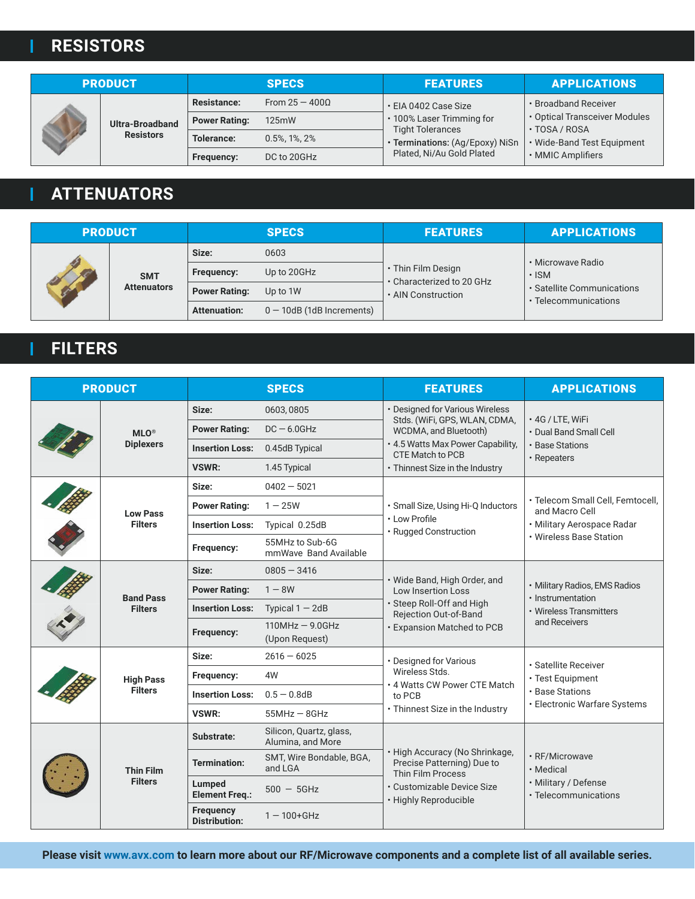# **RESISTORS**

| <b>PRODUCT</b> |                  | <b>SPECS</b>         |                  | <b>FEATURES</b>                                                                         | <b>APPLICATIONS</b>                            |
|----------------|------------------|----------------------|------------------|-----------------------------------------------------------------------------------------|------------------------------------------------|
|                |                  | <b>Resistance:</b>   | From $25 - 4000$ | • EIA 0402 Case Size                                                                    | • Broadband Receiver                           |
|                | Ultra-Broadband  | <b>Power Rating:</b> | 125mW            | · 100% Laser Trimming for<br><b>Tight Tolerances</b><br>· Terminations: (Ag/Epoxy) NiSn | • Optical Transceiver Modules<br>· TOSA / ROSA |
|                | <b>Resistors</b> | Tolerance:           | $0.5\%$ , 1%, 2% |                                                                                         | • Wide-Band Test Equipment                     |
|                |                  | Frequency:           | DC to 20GHz      | Plated, Ni/Au Gold Plated                                                               | • MMIC Amplifiers                              |

# **ATTENUATORS**

| <b>PRODUCT</b> |                    | <b>SPECS</b>         |                              | <b>FEATURES</b>                                 | <b>APPLICATIONS</b>                                |
|----------------|--------------------|----------------------|------------------------------|-------------------------------------------------|----------------------------------------------------|
|                |                    | 0603<br>Size:        |                              | • Microwave Radio                               |                                                    |
|                | <b>SMT</b>         | <b>Frequency:</b>    | Up to 20GHz                  | • Thin Film Design<br>• Characterized to 20 GHz | $\cdot$ ISM                                        |
|                | <b>Attenuators</b> | <b>Power Rating:</b> | Up to 1W                     | • AIN Construction                              | • Satellite Communications<br>• Telecommunications |
|                |                    | <b>Attenuation:</b>  | $0 - 10$ dB (1dB Increments) |                                                 |                                                    |

# **FILTERS**

|  | <b>PRODUCT</b>                     |                                          | <b>SPECS</b>                                 | <b>FEATURES</b>                                                                                                                                      | <b>APPLICATIONS</b>                                                                            |
|--|------------------------------------|------------------------------------------|----------------------------------------------|------------------------------------------------------------------------------------------------------------------------------------------------------|------------------------------------------------------------------------------------------------|
|  |                                    | Size:                                    | 0603,0805                                    | • Designed for Various Wireless<br>Stds. (WiFi, GPS, WLAN, CDMA,                                                                                     | · 4G / LTE, WiFi<br>• Dual Band Small Cell<br>• Base Stations<br>• Repeaters                   |
|  | $MLO^*$<br><b>Diplexers</b>        | <b>Power Rating:</b>                     | $DC - 6.0GHz$                                | WCDMA, and Bluetooth)<br>. 4.5 Watts Max Power Capability,<br>CTE Match to PCB                                                                       |                                                                                                |
|  |                                    | <b>Insertion Loss:</b>                   | 0.45dB Typical                               |                                                                                                                                                      |                                                                                                |
|  |                                    | VSWR:                                    | 1.45 Typical                                 | • Thinnest Size in the Industry                                                                                                                      |                                                                                                |
|  |                                    | Size:                                    | $0402 - 5021$                                |                                                                                                                                                      |                                                                                                |
|  | <b>Low Pass</b>                    | <b>Power Rating:</b>                     | $1 - 25W$                                    | · Small Size, Using Hi-Q Inductors                                                                                                                   | · Telecom Small Cell, Femtocell,<br>and Macro Cell                                             |
|  | <b>Filters</b>                     | <b>Insertion Loss:</b>                   | Typical 0.25dB                               | • Low Profile<br>· Rugged Construction                                                                                                               | • Military Aerospace Radar<br>• Wireless Base Station                                          |
|  |                                    | Frequency:                               | 55MHz to Sub-6G<br>mmWave Band Available     |                                                                                                                                                      |                                                                                                |
|  | <b>Band Pass</b><br><b>Filters</b> | Size:                                    | $0805 - 3416$                                | · Wide Band, High Order, and<br><b>Low Insertion Loss</b><br>· Steep Roll-Off and High<br>Rejection Out-of-Band<br><b>· Expansion Matched to PCB</b> | • Military Radios, EMS Radios<br>· Instrumentation<br>• Wireless Transmitters<br>and Receivers |
|  |                                    | <b>Power Rating:</b>                     | $1 - 8W$                                     |                                                                                                                                                      |                                                                                                |
|  |                                    | <b>Insertion Loss:</b>                   | Typical $1 - 2dB$                            |                                                                                                                                                      |                                                                                                |
|  |                                    | Frequency:                               | $110MHz - 9.0GHz$<br>(Upon Request)          |                                                                                                                                                      |                                                                                                |
|  |                                    | Size:                                    | $2616 - 6025$                                | • Designed for Various<br>Wireless Stds.<br>. 4 Watts CW Power CTE Match<br>to PCB                                                                   | · Satellite Receiver<br>• Test Equipment<br>· Base Stations                                    |
|  | <b>High Pass</b>                   | Frequency:                               | 4W                                           |                                                                                                                                                      |                                                                                                |
|  | <b>Filters</b>                     | <b>Insertion Loss:</b>                   | $0.5 - 0.8$ dB                               |                                                                                                                                                      |                                                                                                |
|  |                                    | VSWR:                                    | $55MHz - 8GHz$                               | . Thinnest Size in the Industry                                                                                                                      | • Electronic Warfare Systems                                                                   |
|  | <b>Thin Film</b><br><b>Filters</b> | Substrate:                               | Silicon, Quartz, glass,<br>Alumina, and More | High Accuracy (No Shrinkage,<br>Precise Patterning) Due to<br><b>Thin Film Process</b><br>· Customizable Device Size<br>• Highly Reproducible        | · RF/Microwave<br>· Medical<br>• Military / Defense<br>• Telecommunications                    |
|  |                                    | <b>Termination:</b>                      | SMT, Wire Bondable, BGA,<br>and LGA          |                                                                                                                                                      |                                                                                                |
|  |                                    | Lumped<br><b>Element Freq.:</b>          | $500 - 5$ GHz                                |                                                                                                                                                      |                                                                                                |
|  |                                    | <b>Frequency</b><br><b>Distribution:</b> | $1 - 100 + G$ Hz                             |                                                                                                                                                      |                                                                                                |